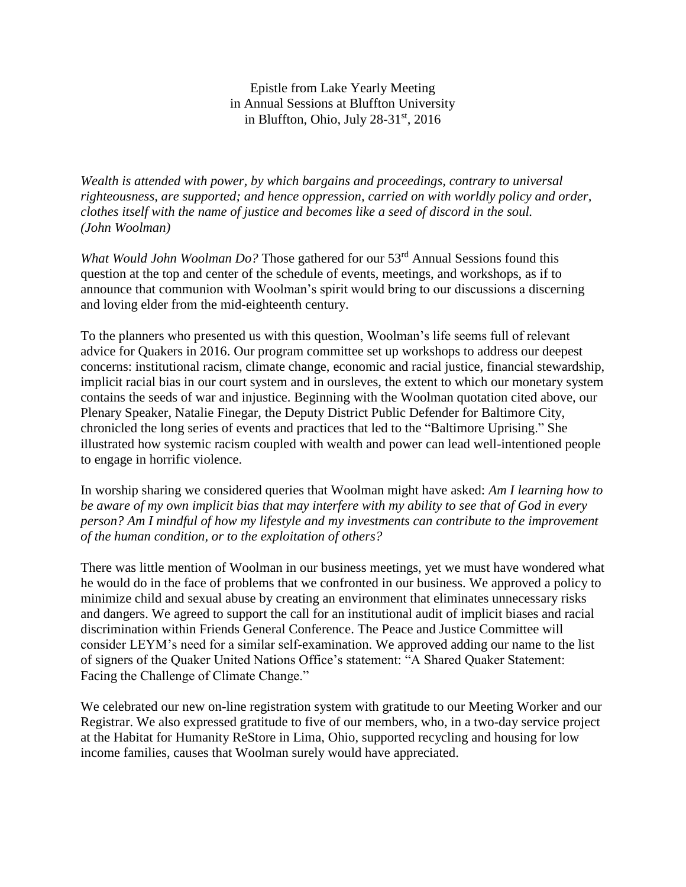Epistle from Lake Yearly Meeting in Annual Sessions at Bluffton University in Bluffton, Ohio, July  $28-31<sup>st</sup>$ , 2016

*Wealth is attended with power, by which bargains and proceedings, contrary to universal righteousness, are supported; and hence oppression, carried on with worldly policy and order, clothes itself with the name of justice and becomes like a seed of discord in the soul. (John Woolman)* 

*What Would John Woolman Do?* Those gathered for our 53<sup>rd</sup> Annual Sessions found this question at the top and center of the schedule of events, meetings, and workshops, as if to announce that communion with Woolman's spirit would bring to our discussions a discerning and loving elder from the mid-eighteenth century.

To the planners who presented us with this question, Woolman's life seems full of relevant advice for Quakers in 2016. Our program committee set up workshops to address our deepest concerns: institutional racism, climate change, economic and racial justice, financial stewardship, implicit racial bias in our court system and in oursleves, the extent to which our monetary system contains the seeds of war and injustice. Beginning with the Woolman quotation cited above, our Plenary Speaker, Natalie Finegar, the Deputy District Public Defender for Baltimore City, chronicled the long series of events and practices that led to the "Baltimore Uprising." She illustrated how systemic racism coupled with wealth and power can lead well-intentioned people to engage in horrific violence.

In worship sharing we considered queries that Woolman might have asked: *Am I learning how to be aware of my own implicit bias that may interfere with my ability to see that of God in every person? Am I mindful of how my lifestyle and my investments can contribute to the improvement of the human condition, or to the exploitation of others?*

There was little mention of Woolman in our business meetings, yet we must have wondered what he would do in the face of problems that we confronted in our business. We approved a policy to minimize child and sexual abuse by creating an environment that eliminates unnecessary risks and dangers. We agreed to support the call for an institutional audit of implicit biases and racial discrimination within Friends General Conference. The Peace and Justice Committee will consider LEYM's need for a similar self-examination. We approved adding our name to the list of signers of the Quaker United Nations Office's statement: "A Shared Quaker Statement: Facing the Challenge of Climate Change."

We celebrated our new on-line registration system with gratitude to our Meeting Worker and our Registrar. We also expressed gratitude to five of our members, who, in a two-day service project at the Habitat for Humanity ReStore in Lima, Ohio, supported recycling and housing for low income families, causes that Woolman surely would have appreciated.